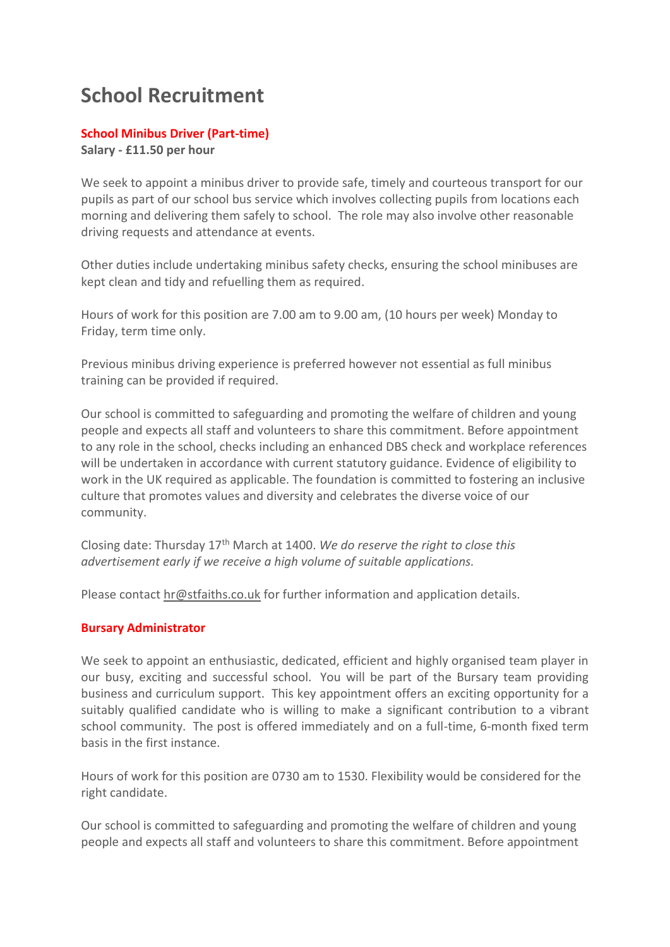## **School Recruitment**

## **School Minibus Driver (Part-time)**

**Salary - £11.50 per hour**

We seek to appoint a minibus driver to provide safe, timely and courteous transport for our pupils as part of our school bus service which involves collecting pupils from locations each morning and delivering them safely to school. The role may also involve other reasonable driving requests and attendance at events.

Other duties include undertaking minibus safety checks, ensuring the school minibuses are kept clean and tidy and refuelling them as required.

Hours of work for this position are 7.00 am to 9.00 am, (10 hours per week) Monday to Friday, term time only.

Previous minibus driving experience is preferred however not essential as full minibus training can be provided if required.

Our school is committed to safeguarding and promoting the welfare of children and young people and expects all staff and volunteers to share this commitment. Before appointment to any role in the school, checks including an enhanced DBS check and workplace references will be undertaken in accordance with current statutory guidance. Evidence of eligibility to work in the UK required as applicable. The foundation is committed to fostering an inclusive culture that promotes values and diversity and celebrates the diverse voice of our community.

Closing date: Thursday 17th March at 1400. *We do reserve the right to close this advertisement early if we receive a high volume of suitable applications.*

Please contact [hr@stfaiths.co.uk](mailto:hr@stfaiths.co.uk) for further information and application details.

## **Bursary Administrator**

We seek to appoint an enthusiastic, dedicated, efficient and highly organised team player in our busy, exciting and successful school. You will be part of the Bursary team providing business and curriculum support. This key appointment offers an exciting opportunity for a suitably qualified candidate who is willing to make a significant contribution to a vibrant school community. The post is offered immediately and on a full-time, 6-month fixed term basis in the first instance.

Hours of work for this position are 0730 am to 1530. Flexibility would be considered for the right candidate.

Our school is committed to safeguarding and promoting the welfare of children and young people and expects all staff and volunteers to share this commitment. Before appointment